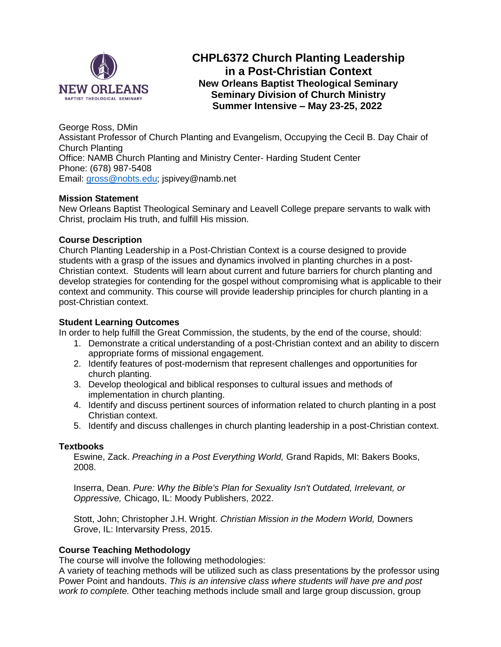

# **CHPL6372 Church Planting Leadership in a Post-Christian Context New Orleans Baptist Theological Seminary Seminary Division of Church Ministry Summer Intensive – May 23-25, 2022**

George Ross, DMin Assistant Professor of Church Planting and Evangelism, Occupying the Cecil B. Day Chair of Church Planting Office: NAMB Church Planting and Ministry Center- Harding Student Center Phone: (678) 987-5408 Email: [gross@nobts.edu;](mailto:gross@nobts.edu) jspivey@namb.net

# **Mission Statement**

New Orleans Baptist Theological Seminary and Leavell College prepare servants to walk with Christ, proclaim His truth, and fulfill His mission.

#### **Course Description**

Church Planting Leadership in a Post-Christian Context is a course designed to provide students with a grasp of the issues and dynamics involved in planting churches in a post-Christian context. Students will learn about current and future barriers for church planting and develop strategies for contending for the gospel without compromising what is applicable to their context and community. This course will provide leadership principles for church planting in a post-Christian context.

#### **Student Learning Outcomes**

In order to help fulfill the Great Commission, the students, by the end of the course, should:

- 1. Demonstrate a critical understanding of a post-Christian context and an ability to discern appropriate forms of missional engagement.
- 2. Identify features of post-modernism that represent challenges and opportunities for church planting.
- 3. Develop theological and biblical responses to cultural issues and methods of implementation in church planting.
- 4. Identify and discuss pertinent sources of information related to church planting in a post Christian context.
- 5. Identify and discuss challenges in church planting leadership in a post-Christian context.

#### **Textbooks**

Eswine, Zack. *Preaching in a Post Everything World,* Grand Rapids, MI: Bakers Books, 2008.

Inserra, Dean. *Pure: Why the Bible's Plan for Sexuality Isn't Outdated, Irrelevant, or Oppressive,* Chicago, IL: Moody Publishers, 2022.

Stott, John; Christopher J.H. Wright. *Christian Mission in the Modern World,* Downers Grove, IL: Intervarsity Press, 2015.

#### **Course Teaching Methodology**

The course will involve the following methodologies:

A variety of teaching methods will be utilized such as class presentations by the professor using Power Point and handouts. *This is an intensive class where students will have pre and post work to complete.* Other teaching methods include small and large group discussion, group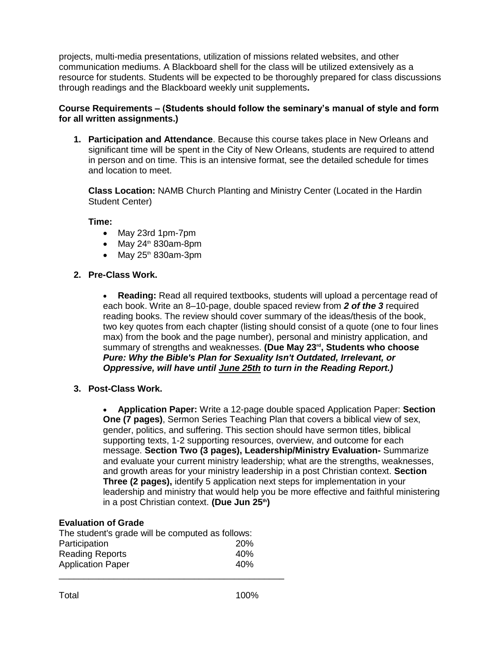projects, multi-media presentations, utilization of missions related websites, and other communication mediums. A Blackboard shell for the class will be utilized extensively as a resource for students. Students will be expected to be thoroughly prepared for class discussions through readings and the Blackboard weekly unit supplements**.**

# **Course Requirements – (Students should follow the seminary's manual of style and form for all written assignments.)**

**1. Participation and Attendance**. Because this course takes place in New Orleans and significant time will be spent in the City of New Orleans, students are required to attend in person and on time. This is an intensive format, see the detailed schedule for times and location to meet.

**Class Location:** NAMB Church Planting and Ministry Center (Located in the Hardin Student Center)

**Time:**

- May 23rd 1pm-7pm
- $\bullet$  May 24<sup>th</sup> 830am-8pm
- May  $25<sup>th</sup>$  830am-3pm
- **2. Pre-Class Work.**

 **Reading:** Read all required textbooks, students will upload a percentage read of each book. Write an 8–10-page, double spaced review from *2 of the 3* required reading books. The review should cover summary of the ideas/thesis of the book, two key quotes from each chapter (listing should consist of a quote (one to four lines max) from the book and the page number), personal and ministry application, and summary of strengths and weaknesses. **(Due May 23rd, Students who choose**  *Pure: Why the Bible's Plan for Sexuality Isn't Outdated, Irrelevant, or Oppressive, will have until June 25th to turn in the Reading Report.)*

**3. Post-Class Work.** 

 **Application Paper:** Write a 12-page double spaced Application Paper: **Section One (7 pages)**, Sermon Series Teaching Plan that covers a biblical view of sex, gender, politics, and suffering. This section should have sermon titles, biblical supporting texts, 1-2 supporting resources, overview, and outcome for each message. **Section Two (3 pages), Leadership/Ministry Evaluation-** Summarize and evaluate your current ministry leadership; what are the strengths, weaknesses, and growth areas for your ministry leadership in a post Christian context. **Section Three (2 pages),** identify 5 application next steps for implementation in your leadership and ministry that would help you be more effective and faithful ministering in a post Christian context. **(Due Jun 25th)**

#### **Evaluation of Grade**

| The student's grade will be computed as follows: |     |
|--------------------------------------------------|-----|
| Participation                                    | 20% |
| <b>Reading Reports</b>                           | 40% |
| <b>Application Paper</b>                         | 40% |
|                                                  |     |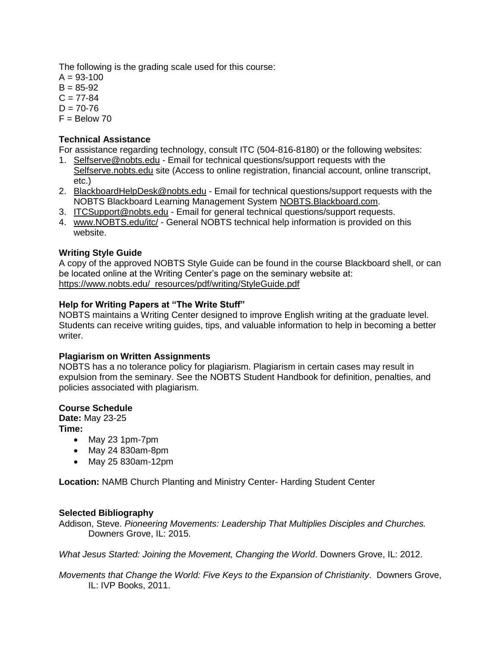The following is the grading scale used for this course:

 $A = 93 - 100$  $B = 85 - 92$  $C = 77 - 84$  $D = 70 - 76$  $F =$  Below 70

## **Technical Assistance**

For assistance regarding technology, consult ITC (504-816-8180) or the following websites:

- 1. Selfserve@nobts.edu Email for technical questions/support requests with the Selfserve.nobts.edu site (Access to online registration, financial account, online transcript, etc.)
- 2. BlackboardHelpDesk@nobts.edu Email for technical questions/support requests with the NOBTS Blackboard Learning Management System NOBTS.Blackboard.com.
- 3. ITCSupport@nobts.edu Email for general technical questions/support requests.
- 4. www.NOBTS.edu/itc/ General NOBTS technical help information is provided on this website.

# **Writing Style Guide**

A copy of the approved NOBTS Style Guide can be found in the course Blackboard shell, or can be located online at the Writing Center's page on the seminary website at: [https://www.nobts.edu/\\_resources/pdf/writing/StyleGuide.pdf](https://www.nobts.edu/_resources/pdf/writing/StyleGuide.pdf)

#### **Help for Writing Papers at "The Write Stuff"**

NOBTS maintains a Writing Center designed to improve English writing at the graduate level. Students can receive writing guides, tips, and valuable information to help in becoming a better writer.

#### **Plagiarism on Written Assignments**

NOBTS has a no tolerance policy for plagiarism. Plagiarism in certain cases may result in expulsion from the seminary. See the NOBTS Student Handbook for definition, penalties, and policies associated with plagiarism.

#### **Course Schedule**

**Date:** May 23-25

- **Time:**
	- May 23 1pm-7pm
	- May 24 830am-8pm
	- May 25 830am-12pm

**Location:** NAMB Church Planting and Ministry Center- Harding Student Center

#### **Selected Bibliography**

Addison, Steve. *Pioneering Movements: Leadership That Multiplies Disciples and Churches.*  Downers Grove, IL: 2015.

*What Jesus Started: Joining the Movement, Changing the World*. Downers Grove, IL: 2012.

*Movements that Change the World: Five Keys to the Expansion of Christianity*. Downers Grove, IL: IVP Books, 2011.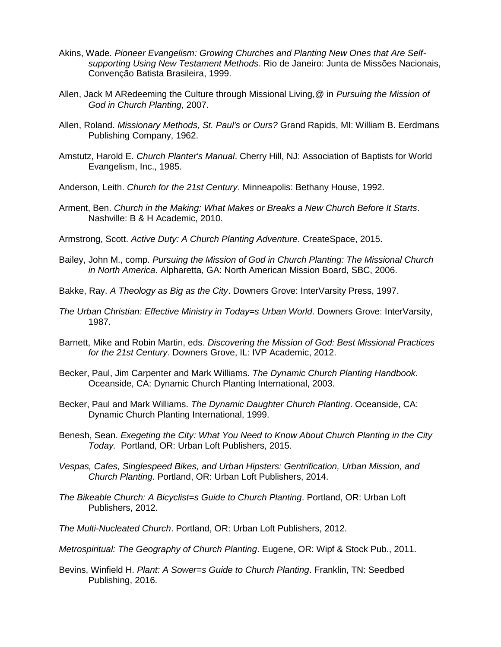- Akins, Wade. *Pioneer Evangelism: Growing Churches and Planting New Ones that Are Selfsupporting Using New Testament Methods*. Rio de Janeiro: Junta de Missões Nacionais, Convenção Batista Brasileira, 1999.
- Allen, Jack M ARedeeming the Culture through Missional Living,@ in *Pursuing the Mission of God in Church Planting*, 2007.
- Allen, Roland. *Missionary Methods, St. Paul's or Ours?* Grand Rapids, MI: William B. Eerdmans Publishing Company, 1962.
- Amstutz, Harold E. *Church Planter's Manual*. Cherry Hill, NJ: Association of Baptists for World Evangelism, Inc., 1985.
- Anderson, Leith. *Church for the 21st Century*. Minneapolis: Bethany House, 1992.
- Arment, Ben. *Church in the Making: What Makes or Breaks a New Church Before It Starts*. Nashville: B & H Academic, 2010.
- Armstrong, Scott. *Active Duty: A Church Planting Adventure*. CreateSpace, 2015.
- Bailey, John M., comp. *Pursuing the Mission of God in Church Planting: The Missional Church in North America*. Alpharetta, GA: North American Mission Board, SBC, 2006.
- Bakke, Ray. *A Theology as Big as the City*. Downers Grove: InterVarsity Press, 1997.
- *The Urban Christian: Effective Ministry in Today=s Urban World*. Downers Grove: InterVarsity, 1987.
- Barnett, Mike and Robin Martin, eds. *Discovering the Mission of God: Best Missional Practices for the 21st Century*. Downers Grove, IL: IVP Academic, 2012.
- Becker, Paul, Jim Carpenter and Mark Williams. *The Dynamic Church Planting Handbook*. Oceanside, CA: Dynamic Church Planting International, 2003.
- Becker, Paul and Mark Williams. *The Dynamic Daughter Church Planting*. Oceanside, CA: Dynamic Church Planting International, 1999.
- Benesh, Sean. *Exegeting the City: What You Need to Know About Church Planting in the City Today.* Portland, OR: Urban Loft Publishers, 2015.
- *Vespas, Cafes, Singlespeed Bikes, and Urban Hipsters: Gentrification, Urban Mission, and Church Planting*. Portland, OR: Urban Loft Publishers, 2014.
- *The Bikeable Church: A Bicyclist=s Guide to Church Planting*. Portland, OR: Urban Loft Publishers, 2012.
- *The Multi-Nucleated Church*. Portland, OR: Urban Loft Publishers, 2012.
- *Metrospiritual: The Geography of Church Planting*. Eugene, OR: Wipf & Stock Pub., 2011.
- Bevins, Winfield H. *Plant: A Sower=s Guide to Church Planting*. Franklin, TN: Seedbed Publishing, 2016.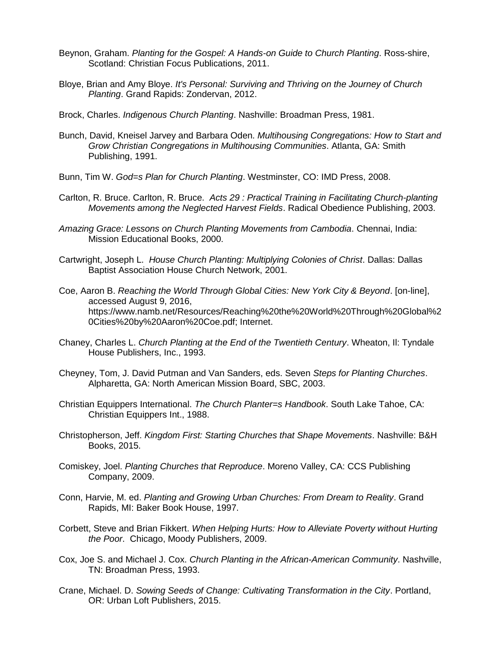- Beynon, Graham. *Planting for the Gospel: A Hands-on Guide to Church Planting*. Ross-shire, Scotland: Christian Focus Publications, 2011.
- Bloye, Brian and Amy Bloye. *It's Personal: Surviving and Thriving on the Journey of Church Planting*. Grand Rapids: Zondervan, 2012.
- Brock, Charles. *Indigenous Church Planting*. Nashville: Broadman Press, 1981.
- Bunch, David, Kneisel Jarvey and Barbara Oden. *Multihousing Congregations: How to Start and Grow Christian Congregations in Multihousing Communities*. Atlanta, GA: Smith Publishing, 1991.
- Bunn, Tim W. *God=s Plan for Church Planting*. Westminster, CO: IMD Press, 2008.
- Carlton, R. Bruce. Carlton, R. Bruce. *Acts 29 : Practical Training in Facilitating Church-planting Movements among the Neglected Harvest Fields*. Radical Obedience Publishing, 2003.
- *Amazing Grace: Lessons on Church Planting Movements from Cambodia*. Chennai, India: Mission Educational Books, 2000.
- Cartwright, Joseph L. *House Church Planting: Multiplying Colonies of Christ*. Dallas: Dallas Baptist Association House Church Network, 2001.
- Coe, Aaron B. *Reaching the World Through Global Cities: New York City & Beyond*. [on-line], accessed August 9, 2016, https://www.namb.net/Resources/Reaching%20the%20World%20Through%20Global%2 0Cities%20by%20Aaron%20Coe.pdf; Internet.
- Chaney, Charles L. *Church Planting at the End of the Twentieth Century*. Wheaton, Il: Tyndale House Publishers, Inc., 1993.
- Cheyney, Tom, J. David Putman and Van Sanders, eds. Seven *Steps for Planting Churches*. Alpharetta, GA: North American Mission Board, SBC, 2003.
- Christian Equippers International. *The Church Planter=s Handbook*. South Lake Tahoe, CA: Christian Equippers Int., 1988.
- Christopherson, Jeff. *Kingdom First: Starting Churches that Shape Movements*. Nashville: B&H Books, 2015.
- Comiskey, Joel. *Planting Churches that Reproduce*. Moreno Valley, CA: CCS Publishing Company, 2009.
- Conn, Harvie, M. ed. *Planting and Growing Urban Churches: From Dream to Reality*. Grand Rapids, MI: Baker Book House, 1997.
- Corbett, Steve and Brian Fikkert. *When Helping Hurts: How to Alleviate Poverty without Hurting the Poor*. Chicago, Moody Publishers, 2009.
- Cox, Joe S. and Michael J. Cox. *Church Planting in the African-American Community*. Nashville, TN: Broadman Press, 1993.
- Crane, Michael. D. *Sowing Seeds of Change: Cultivating Transformation in the City*. Portland, OR: Urban Loft Publishers, 2015.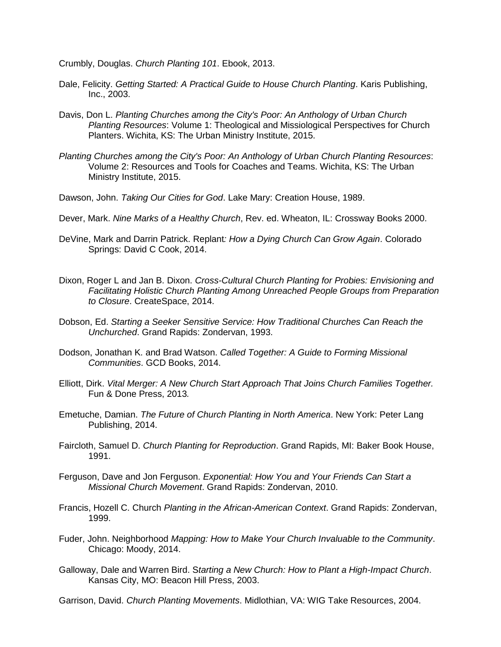Crumbly, Douglas. *Church Planting 101*. Ebook, 2013.

- Dale, Felicity. *Getting Started: A Practical Guide to House Church Planting*. Karis Publishing, Inc., 2003.
- Davis, Don L. *Planting Churches among the City's Poor: An Anthology of Urban Church Planting Resources*: Volume 1: Theological and Missiological Perspectives for Church Planters. Wichita, KS: The Urban Ministry Institute, 2015.
- *Planting Churches among the City's Poor: An Anthology of Urban Church Planting Resources*: Volume 2: Resources and Tools for Coaches and Teams. Wichita, KS: The Urban Ministry Institute, 2015.
- Dawson, John. *Taking Our Cities for God*. Lake Mary: Creation House, 1989.
- Dever, Mark. *Nine Marks of a Healthy Church*, Rev. ed. Wheaton, IL: Crossway Books 2000.
- DeVine, Mark and Darrin Patrick. Replant*: How a Dying Church Can Grow Again*. Colorado Springs: David C Cook, 2014.
- Dixon, Roger L and Jan B. Dixon. *Cross-Cultural Church Planting for Probies: Envisioning and Facilitating Holistic Church Planting Among Unreached People Groups from Preparation to Closure*. CreateSpace, 2014.
- Dobson, Ed. *Starting a Seeker Sensitive Service: How Traditional Churches Can Reach the Unchurched*. Grand Rapids: Zondervan, 1993.
- Dodson, Jonathan K. and Brad Watson. *Called Together: A Guide to Forming Missional Communities*. GCD Books, 2014.
- Elliott, Dirk. *Vital Merger: A New Church Start Approach That Joins Church Families Together.*  Fun & Done Press, 2013*.*
- Emetuche, Damian. *The Future of Church Planting in North America*. New York: Peter Lang Publishing, 2014.
- Faircloth, Samuel D. *Church Planting for Reproduction*. Grand Rapids, MI: Baker Book House, 1991.
- Ferguson, Dave and Jon Ferguson. *Exponential: How You and Your Friends Can Start a Missional Church Movement*. Grand Rapids: Zondervan, 2010.
- Francis, Hozell C. Church *Planting in the African-American Context*. Grand Rapids: Zondervan, 1999.
- Fuder, John. Neighborhood *Mapping: How to Make Your Church Invaluable to the Community*. Chicago: Moody, 2014.
- Galloway, Dale and Warren Bird. S*tarting a New Church: How to Plant a High-Impact Church*. Kansas City, MO: Beacon Hill Press, 2003.
- Garrison, David. *Church Planting Movements*. Midlothian, VA: WIG Take Resources, 2004.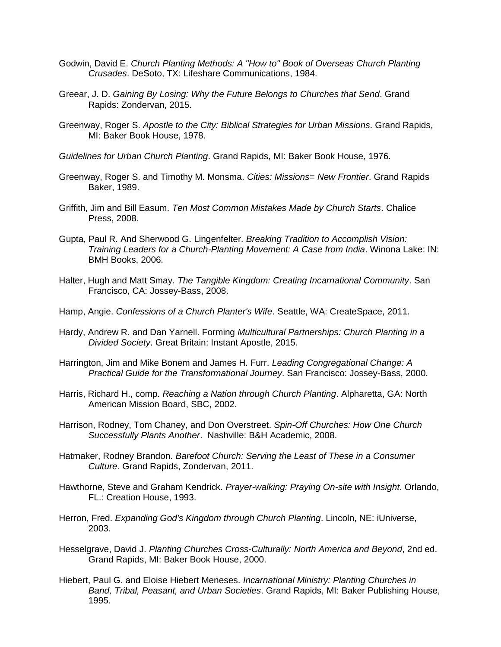- Godwin, David E. *Church Planting Methods: A "How to" Book of Overseas Church Planting Crusades*. DeSoto, TX: Lifeshare Communications, 1984.
- Greear, J. D. *Gaining By Losing: Why the Future Belongs to Churches that Send*. Grand Rapids: Zondervan, 2015.
- Greenway, Roger S. *Apostle to the City: Biblical Strategies for Urban Missions*. Grand Rapids, MI: Baker Book House, 1978.
- *Guidelines for Urban Church Planting*. Grand Rapids, MI: Baker Book House, 1976.
- Greenway, Roger S. and Timothy M. Monsma. *Cities: Missions= New Frontier*. Grand Rapids Baker, 1989.
- Griffith, Jim and Bill Easum. *Ten Most Common Mistakes Made by Church Starts*. Chalice Press, 2008.
- Gupta, Paul R. And Sherwood G. Lingenfelter. *Breaking Tradition to Accomplish Vision: Training Leaders for a Church-Planting Movement: A Case from India*. Winona Lake: IN: BMH Books, 2006.
- Halter, Hugh and Matt Smay. *The Tangible Kingdom: Creating Incarnational Community*. San Francisco, CA: Jossey-Bass, 2008.
- Hamp, Angie. *Confessions of a Church Planter's Wife*. Seattle, WA: CreateSpace, 2011.
- Hardy, Andrew R. and Dan Yarnell. Forming *Multicultural Partnerships: Church Planting in a Divided Society*. Great Britain: Instant Apostle, 2015.
- Harrington, Jim and Mike Bonem and James H. Furr. *Leading Congregational Change: A Practical Guide for the Transformational Journey*. San Francisco: Jossey-Bass, 2000.
- Harris, Richard H., comp. *Reaching a Nation through Church Planting*. Alpharetta, GA: North American Mission Board, SBC, 2002.
- Harrison, Rodney, Tom Chaney, and Don Overstreet. *Spin-Off Churches: How One Church Successfully Plants Another*. Nashville: B&H Academic, 2008.
- Hatmaker, Rodney Brandon. *Barefoot Church: Serving the Least of These in a Consumer Culture*. Grand Rapids, Zondervan, 2011.
- Hawthorne, Steve and Graham Kendrick. *Prayer-walking: Praying On-site with Insight*. Orlando, FL.: Creation House, 1993.
- Herron, Fred. *Expanding God's Kingdom through Church Planting*. Lincoln, NE: iUniverse, 2003.
- Hesselgrave, David J. *Planting Churches Cross-Culturally: North America and Beyond*, 2nd ed. Grand Rapids, MI: Baker Book House, 2000.
- Hiebert, Paul G. and Eloise Hiebert Meneses. *Incarnational Ministry: Planting Churches in Band, Tribal, Peasant, and Urban Societies*. Grand Rapids, MI: Baker Publishing House, 1995.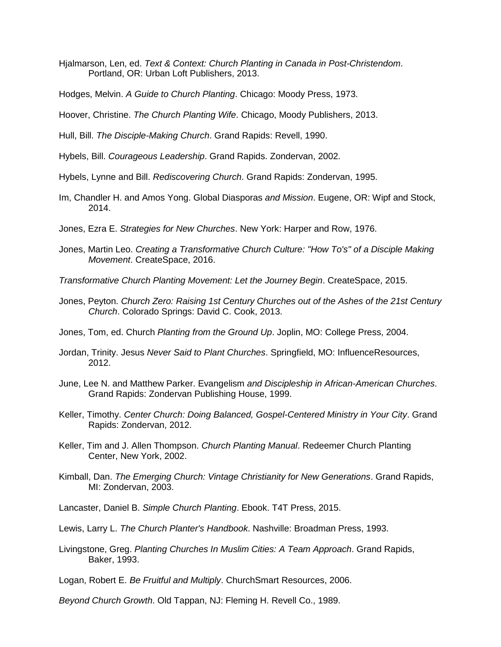- Hjalmarson, Len, ed. *Text & Context: Church Planting in Canada in Post-Christendom*. Portland, OR: Urban Loft Publishers, 2013.
- Hodges, Melvin. *A Guide to Church Planting*. Chicago: Moody Press, 1973.
- Hoover, Christine. *The Church Planting Wife*. Chicago, Moody Publishers, 2013.
- Hull, Bill. *The Disciple-Making Church*. Grand Rapids: Revell, 1990.
- Hybels, Bill. *Courageous Leadership*. Grand Rapids. Zondervan, 2002.
- Hybels, Lynne and Bill. *Rediscovering Church*. Grand Rapids: Zondervan, 1995.
- Im, Chandler H. and Amos Yong. Global Diasporas *and Mission*. Eugene, OR: Wipf and Stock, 2014.
- Jones, Ezra E. *Strategies for New Churches*. New York: Harper and Row, 1976.
- Jones, Martin Leo. *Creating a Transformative Church Culture: "How To's" of a Disciple Making Movement*. CreateSpace, 2016.
- *Transformative Church Planting Movement: Let the Journey Begin*. CreateSpace, 2015.
- Jones, Peyton. *Church Zero: Raising 1st Century Churches out of the Ashes of the 21st Century Church*. Colorado Springs: David C. Cook, 2013.
- Jones, Tom, ed. Church *Planting from the Ground Up*. Joplin, MO: College Press, 2004.
- Jordan, Trinity. Jesus *Never Said to Plant Churches*. Springfield, MO: InfluenceResources, 2012.
- June, Lee N. and Matthew Parker. Evangelism *and Discipleship in African-American Churches*. Grand Rapids: Zondervan Publishing House, 1999.
- Keller, Timothy. *Center Church: Doing Balanced, Gospel-Centered Ministry in Your City*. Grand Rapids: Zondervan, 2012.
- Keller, Tim and J. Allen Thompson. *Church Planting Manual*. Redeemer Church Planting Center, New York, 2002.
- Kimball, Dan. *The Emerging Church: Vintage Christianity for New Generations*. Grand Rapids, MI: Zondervan, 2003.
- Lancaster, Daniel B. *Simple Church Planting*. Ebook. T4T Press, 2015.
- Lewis, Larry L. *The Church Planter's Handbook*. Nashville: Broadman Press, 1993.
- Livingstone, Greg. *Planting Churches In Muslim Cities: A Team Approach*. Grand Rapids, Baker, 1993.
- Logan, Robert E. *Be Fruitful and Multiply*. ChurchSmart Resources, 2006.
- *Beyond Church Growth*. Old Tappan, NJ: Fleming H. Revell Co., 1989.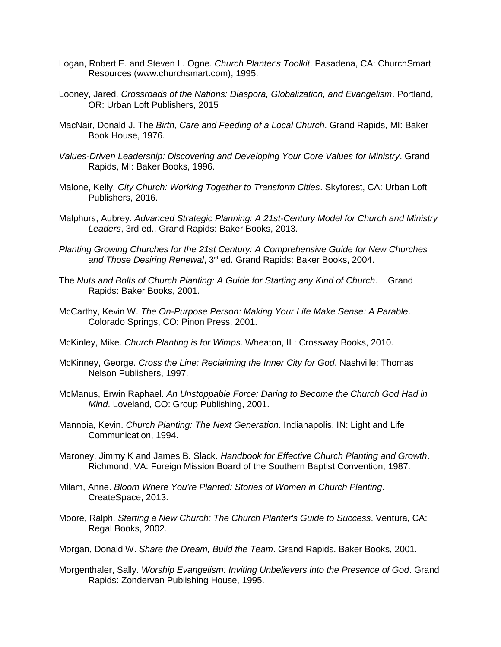- Logan, Robert E. and Steven L. Ogne. *Church Planter's Toolkit*. Pasadena, CA: ChurchSmart Resources (www.churchsmart.com), 1995.
- Looney, Jared. *Crossroads of the Nations: Diaspora, Globalization, and Evangelism*. Portland, OR: Urban Loft Publishers, 2015
- MacNair, Donald J. The *Birth, Care and Feeding of a Local Church*. Grand Rapids, MI: Baker Book House, 1976.
- *Values-Driven Leadership: Discovering and Developing Your Core Values for Ministry*. Grand Rapids, MI: Baker Books, 1996.
- Malone, Kelly. *City Church: Working Together to Transform Cities*. Skyforest, CA: Urban Loft Publishers, 2016.
- Malphurs, Aubrey. *Advanced Strategic Planning: A 21st-Century Model for Church and Ministry Leaders*, 3rd ed.. Grand Rapids: Baker Books, 2013.
- *Planting Growing Churches for the 21st Century: A Comprehensive Guide for New Churches and Those Desiring Renewal*, 3rd ed. Grand Rapids: Baker Books, 2004.
- The *Nuts and Bolts of Church Planting: A Guide for Starting any Kind of Church*. Grand Rapids: Baker Books, 2001.
- McCarthy, Kevin W. *The On-Purpose Person: Making Your Life Make Sense: A Parable*. Colorado Springs, CO: Pinon Press, 2001.
- McKinley, Mike. *Church Planting is for Wimps*. Wheaton, IL: Crossway Books, 2010.
- McKinney, George. *Cross the Line: Reclaiming the Inner City for God*. Nashville: Thomas Nelson Publishers, 1997.
- McManus, Erwin Raphael. *An Unstoppable Force: Daring to Become the Church God Had in Mind*. Loveland, CO: Group Publishing, 2001.
- Mannoia, Kevin. *Church Planting: The Next Generation*. Indianapolis, IN: Light and Life Communication, 1994.
- Maroney, Jimmy K and James B. Slack. *Handbook for Effective Church Planting and Growth*. Richmond, VA: Foreign Mission Board of the Southern Baptist Convention, 1987.
- Milam, Anne. *Bloom Where You're Planted: Stories of Women in Church Planting*. CreateSpace, 2013.
- Moore, Ralph. *Starting a New Church: The Church Planter's Guide to Success*. Ventura, CA: Regal Books, 2002.
- Morgan, Donald W. *Share the Dream, Build the Team*. Grand Rapids. Baker Books, 2001.
- Morgenthaler, Sally. *Worship Evangelism: Inviting Unbelievers into the Presence of God*. Grand Rapids: Zondervan Publishing House, 1995.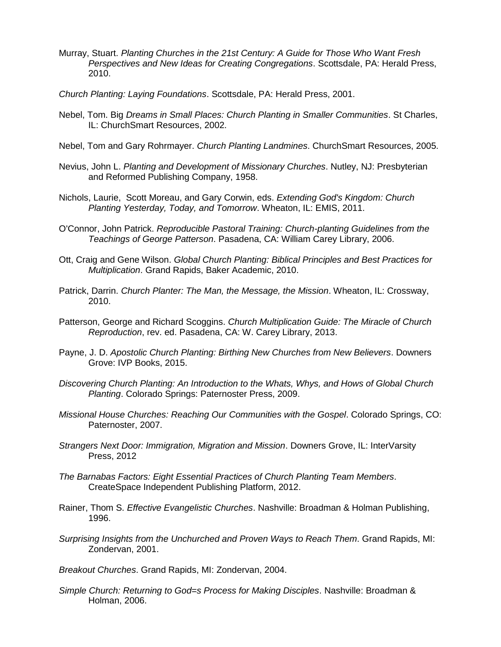- Murray, Stuart. *Planting Churches in the 21st Century: A Guide for Those Who Want Fresh Perspectives and New Ideas for Creating Congregations*. Scottsdale, PA: Herald Press, 2010.
- *Church Planting: Laying Foundations*. Scottsdale, PA: Herald Press, 2001.
- Nebel, Tom. Big *Dreams in Small Places: Church Planting in Smaller Communities*. St Charles, IL: ChurchSmart Resources, 2002.
- Nebel, Tom and Gary Rohrmayer. *Church Planting Landmines*. ChurchSmart Resources, 2005.
- Nevius, John L. *Planting and Development of Missionary Churches*. Nutley, NJ: Presbyterian and Reformed Publishing Company, 1958.
- Nichols, Laurie, Scott Moreau, and Gary Corwin, eds. *Extending God's Kingdom: Church Planting Yesterday, Today, and Tomorrow*. Wheaton, IL: EMIS, 2011.
- O'Connor, John Patrick. *Reproducible Pastoral Training: Church-planting Guidelines from the Teachings of George Patterson*. Pasadena, CA: William Carey Library, 2006.
- Ott, Craig and Gene Wilson. *Global Church Planting: Biblical Principles and Best Practices for Multiplication*. Grand Rapids, Baker Academic, 2010.
- Patrick, Darrin. *Church Planter: The Man, the Message, the Mission*. Wheaton, IL: Crossway, 2010.
- Patterson, George and Richard Scoggins. *Church Multiplication Guide: The Miracle of Church Reproduction*, rev. ed. Pasadena, CA: W. Carey Library, 2013.
- Payne, J. D. *Apostolic Church Planting: Birthing New Churches from New Believers*. Downers Grove: IVP Books, 2015.
- *Discovering Church Planting: An Introduction to the Whats, Whys, and Hows of Global Church Planting*. Colorado Springs: Paternoster Press, 2009.
- *Missional House Churches: Reaching Our Communities with the Gospel*. Colorado Springs, CO: Paternoster, 2007.
- *Strangers Next Door: Immigration, Migration and Mission*. Downers Grove, IL: InterVarsity Press, 2012
- *The Barnabas Factors: Eight Essential Practices of Church Planting Team Members*. CreateSpace Independent Publishing Platform, 2012.
- Rainer, Thom S. *Effective Evangelistic Churches*. Nashville: Broadman & Holman Publishing, 1996.
- *Surprising Insights from the Unchurched and Proven Ways to Reach Them*. Grand Rapids, MI: Zondervan, 2001.
- *Breakout Churches*. Grand Rapids, MI: Zondervan, 2004.
- *Simple Church: Returning to God=s Process for Making Disciples*. Nashville: Broadman & Holman, 2006.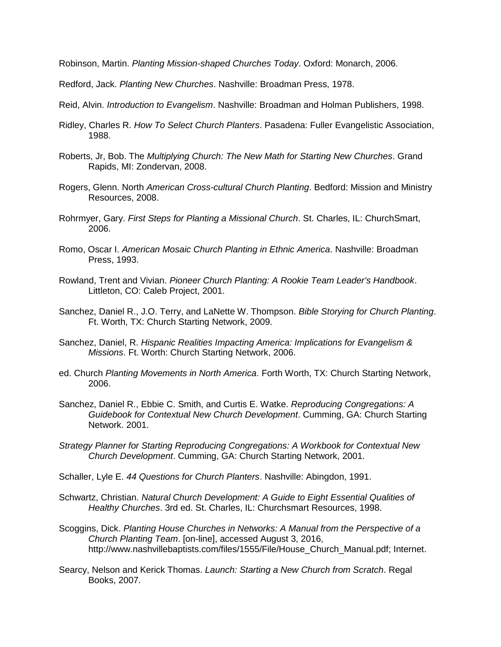Robinson, Martin. *Planting Mission-shaped Churches Today*. Oxford: Monarch, 2006.

Redford, Jack. *Planting New Churches*. Nashville: Broadman Press, 1978.

Reid, Alvin. *Introduction to Evangelism*. Nashville: Broadman and Holman Publishers, 1998.

- Ridley, Charles R. *How To Select Church Planters*. Pasadena: Fuller Evangelistic Association, 1988.
- Roberts, Jr, Bob. The *Multiplying Church: The New Math for Starting New Churches*. Grand Rapids, MI: Zondervan, 2008.
- Rogers, Glenn. North *American Cross-cultural Church Planting*. Bedford: Mission and Ministry Resources, 2008.
- Rohrmyer, Gary. *First Steps for Planting a Missional Church*. St. Charles, IL: ChurchSmart, 2006.
- Romo, Oscar I. *American Mosaic Church Planting in Ethnic America*. Nashville: Broadman Press, 1993.
- Rowland, Trent and Vivian. *Pioneer Church Planting: A Rookie Team Leader's Handbook*. Littleton, CO: Caleb Project, 2001.
- Sanchez, Daniel R., J.O. Terry, and LaNette W. Thompson. *Bible Storying for Church Planting*. Ft. Worth, TX: Church Starting Network, 2009.
- Sanchez, Daniel, R. *Hispanic Realities Impacting America: Implications for Evangelism & Missions*. Ft. Worth: Church Starting Network, 2006.
- ed. Church *Planting Movements in North America*. Forth Worth, TX: Church Starting Network, 2006.
- Sanchez, Daniel R., Ebbie C. Smith, and Curtis E. Watke. *Reproducing Congregations: A Guidebook for Contextual New Church Development*. Cumming, GA: Church Starting Network. 2001.
- *Strategy Planner for Starting Reproducing Congregations: A Workbook for Contextual New Church Development*. Cumming, GA: Church Starting Network, 2001.

Schaller, Lyle E. *44 Questions for Church Planters*. Nashville: Abingdon, 1991.

- Schwartz, Christian. *Natural Church Development: A Guide to Eight Essential Qualities of Healthy Churches*. 3rd ed. St. Charles, IL: Churchsmart Resources, 1998.
- Scoggins, Dick. *Planting House Churches in Networks: A Manual from the Perspective of a Church Planting Team*. [on-line], accessed August 3, 2016, http://www.nashvillebaptists.com/files/1555/File/House\_Church\_Manual.pdf; Internet.
- Searcy, Nelson and Kerick Thomas. *Launch: Starting a New Church from Scratch*. Regal Books, 2007.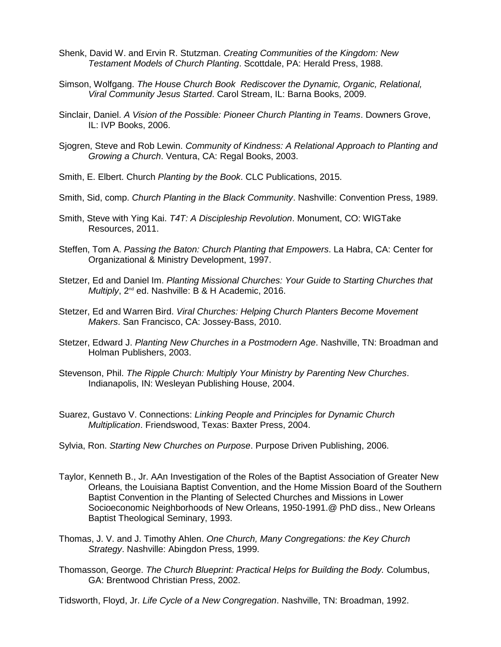- Shenk, David W. and Ervin R. Stutzman. *Creating Communities of the Kingdom: New Testament Models of Church Planting*. Scottdale, PA: Herald Press, 1988.
- Simson, Wolfgang. *The House Church Book Rediscover the Dynamic, Organic, Relational, Viral Community Jesus Started*. Carol Stream, IL: Barna Books, 2009.
- Sinclair, Daniel. *A Vision of the Possible: Pioneer Church Planting in Teams*. Downers Grove, IL: IVP Books, 2006.
- Sjogren, Steve and Rob Lewin. *Community of Kindness: A Relational Approach to Planting and Growing a Church*. Ventura, CA: Regal Books, 2003.
- Smith, E. Elbert. Church *Planting by the Book*. CLC Publications, 2015.
- Smith, Sid, comp. *Church Planting in the Black Community*. Nashville: Convention Press, 1989.
- Smith, Steve with Ying Kai. *T4T: A Discipleship Revolution*. Monument, CO: WIGTake Resources, 2011.
- Steffen, Tom A. *Passing the Baton: Church Planting that Empowers*. La Habra, CA: Center for Organizational & Ministry Development, 1997.
- Stetzer, Ed and Daniel Im. *Planting Missional Churches: Your Guide to Starting Churches that Multiply*, 2<sup>nd</sup> ed. Nashville: B & H Academic, 2016.
- Stetzer, Ed and Warren Bird. *Viral Churches: Helping Church Planters Become Movement Makers*. San Francisco, CA: Jossey-Bass, 2010.
- Stetzer, Edward J. *Planting New Churches in a Postmodern Age*. Nashville, TN: Broadman and Holman Publishers, 2003.
- Stevenson, Phil. *The Ripple Church: Multiply Your Ministry by Parenting New Churches*. Indianapolis, IN: Wesleyan Publishing House, 2004.
- Suarez, Gustavo V. Connections: *Linking People and Principles for Dynamic Church Multiplication*. Friendswood, Texas: Baxter Press, 2004.
- Sylvia, Ron. *Starting New Churches on Purpose*. Purpose Driven Publishing, 2006.
- Taylor, Kenneth B., Jr. AAn Investigation of the Roles of the Baptist Association of Greater New Orleans, the Louisiana Baptist Convention, and the Home Mission Board of the Southern Baptist Convention in the Planting of Selected Churches and Missions in Lower Socioeconomic Neighborhoods of New Orleans, 1950-1991.@ PhD diss., New Orleans Baptist Theological Seminary, 1993.
- Thomas, J. V. and J. Timothy Ahlen. *One Church, Many Congregations: the Key Church Strategy*. Nashville: Abingdon Press, 1999.
- Thomasson, George. *The Church Blueprint: Practical Helps for Building the Body.* Columbus, GA: Brentwood Christian Press, 2002.
- Tidsworth, Floyd, Jr. *Life Cycle of a New Congregation*. Nashville, TN: Broadman, 1992.